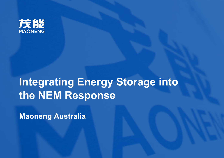

## **Integrating Energy Storage into the NEM Response**

**Maoneng Australia**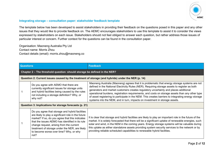

## **Integrating storage – consultation paper: stakeholder feedback template**

The template below has been developed to assist stakeholders in providing their feedback on the questions posed in this paper and any other issues that they would like to provide feedback on. The AEMC encourages stakeholders to use this template to assist it to consider the views expressed by stakeholders on each issue. Stakeholders should not feel obliged to answer each question, but rather address those issues of particular interest or concern. Further context for the questions can be found in the consultation paper.

Organisation: Maoneng Australia Pty Ltd Contact name: Morris Zhou Contact details (email): morris.zhou@maoneng.co

| <b>Questions</b>                                       |                                                                                                                                                                                                                                                                                                                                                              | <b>Feedback</b>                                                                                                                                                                                                                                                                                                                                                                                                                                                                                                                                                                 |  |
|--------------------------------------------------------|--------------------------------------------------------------------------------------------------------------------------------------------------------------------------------------------------------------------------------------------------------------------------------------------------------------------------------------------------------------|---------------------------------------------------------------------------------------------------------------------------------------------------------------------------------------------------------------------------------------------------------------------------------------------------------------------------------------------------------------------------------------------------------------------------------------------------------------------------------------------------------------------------------------------------------------------------------|--|
|                                                        | Chapter 2 - The threshold question: should storage be defined in the NER?                                                                                                                                                                                                                                                                                    |                                                                                                                                                                                                                                                                                                                                                                                                                                                                                                                                                                                 |  |
|                                                        | Question 2: Current issues caused by the treatment of storage (and hybrids) under the NER (p. 14)                                                                                                                                                                                                                                                            |                                                                                                                                                                                                                                                                                                                                                                                                                                                                                                                                                                                 |  |
|                                                        | Do you agree with AEMO that there are<br>currently significant issues for storage units<br>and hybrid facilities being caused by the rules<br>not including a storage definition? Why, or<br>why not?                                                                                                                                                        | Maoneng Australia (Maoneng) agrees that it is problematic that energy storage systems are not<br>defined in the National Electricity Rules (NER). Requiring storage assets to register as both<br>generators and market customers creates regulatory uncertainty and places additional<br>operational burdens, registration requirements, and costs on storage assets than any other type<br>of asset registering to participate in the NEM. This creates barriers to integrating energy storage<br>systems into the NEM, and in turn, impacts on investment in storage assets. |  |
| Question 3: Implications for storage forecasts (p. 21) |                                                                                                                                                                                                                                                                                                                                                              |                                                                                                                                                                                                                                                                                                                                                                                                                                                                                                                                                                                 |  |
|                                                        | Do you agree that storage and hybrid facilities<br>are likely to play a significant role in the future<br>market? If so, do you agree that this indicates<br>that the issues AEMO has identified in its rule<br>change request, arising from the current<br>treatment of storage under the NER, are likely<br>to become worse over time? Why, or why<br>not? | It is clear that storage and hybrid facilities are likely to play an important role in the future of the<br>market. It is widely forecasted that there will be a significant uptake of renewable energies, such<br>solar and wind, in the NEM in the coming years. Energy storage systems will be valuable during<br>this uptake as either standalone assets providing system security services to the network or by<br>providing reliable scheduled capabilities to renewable hybrid facilities.                                                                               |  |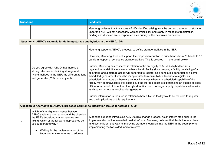

| <b>Questions</b> |                                                                                                                                                                                                                                                                                                  | <b>Feedback</b>                                                                                                                                                                                                                                                                                                                                                                                                                                                                                                                                                                                                                                                                                                                                                                                                                                                                                                                                                                                                                                                                                                                                                                      |  |
|------------------|--------------------------------------------------------------------------------------------------------------------------------------------------------------------------------------------------------------------------------------------------------------------------------------------------|--------------------------------------------------------------------------------------------------------------------------------------------------------------------------------------------------------------------------------------------------------------------------------------------------------------------------------------------------------------------------------------------------------------------------------------------------------------------------------------------------------------------------------------------------------------------------------------------------------------------------------------------------------------------------------------------------------------------------------------------------------------------------------------------------------------------------------------------------------------------------------------------------------------------------------------------------------------------------------------------------------------------------------------------------------------------------------------------------------------------------------------------------------------------------------------|--|
|                  |                                                                                                                                                                                                                                                                                                  | Maoneng believes that the issues AEMO identified arising from the current treatment of storage<br>under the NER will not necessarily worsen if flexibility and clarity in respect of registration,<br>bidding and dispatch are incorporated as a priority in the new rules framework.                                                                                                                                                                                                                                                                                                                                                                                                                                                                                                                                                                                                                                                                                                                                                                                                                                                                                                |  |
|                  | Question 4: AEMO's rationale for defining storage and hybrids in the NER (p. 25)                                                                                                                                                                                                                 |                                                                                                                                                                                                                                                                                                                                                                                                                                                                                                                                                                                                                                                                                                                                                                                                                                                                                                                                                                                                                                                                                                                                                                                      |  |
| 1                | Do you agree with AEMO that there is a<br>strong rationale for defining storage and<br>hybrid facilities in the NER (as different to load<br>and generation)? Why or why not?                                                                                                                    | Maoneng supports AEMO's proposal to define storage facilities in the NER.<br>However, Maoneng does not support the proposed reduction in price bands from 20 bands to 10<br>bands in respect of scheduled storage facilities. This is covered in more detail below.<br>Further, Maoneng has concerns in relation to the ambiguity of AEMO's hybrid facilities<br>registration model. It is unclear whether a hybrid facility (for example, a facility consisting of a<br>solar farm and a storage asset) will be forced to register as a scheduled generator or a semi-<br>scheduled generator. It would be inappropriate to require hybrid facilities to register as<br>scheduled generators as there are various instances where the scheduled capability of the<br>facility may be unavailable. For example, if the storage asset is experiencing an outage or goes<br>offline for a period of time, then the hybrid facility could no longer supply dispatches in line with<br>its dispatch targets as a scheduled generator.<br>Further information is required in relation to how a hybrid facility would be required to register<br>and the implications of this requirement. |  |
|                  | Question 6: Alternative to AEMO's proposed solution to integration issues for storage (p. 29)                                                                                                                                                                                                    |                                                                                                                                                                                                                                                                                                                                                                                                                                                                                                                                                                                                                                                                                                                                                                                                                                                                                                                                                                                                                                                                                                                                                                                      |  |
|                  | In light of the alignment issues between<br>AEMO's rule change request and the direction<br>the ESB's two-sided market reforms are<br>taking, which of the following approaches do<br>you support and why?<br>Waiting for the implementation of the<br>а.<br>two-sided market reforms to address | Maoneng supports introducing AEMO's rule change proposal as an interim step prior to the<br>implementation of the two-sided market reforms. Maoneng believes that this is the most time<br>and cost efficient pathway to improving storage integration into the NEM in the years prior to<br>implementing the two-sided market reforms.                                                                                                                                                                                                                                                                                                                                                                                                                                                                                                                                                                                                                                                                                                                                                                                                                                              |  |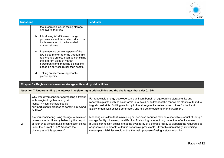

|                  | un Sur                                                                                                        |                                                                                                                                                                                                                                          |                                                                                                                                                                                                                                                                                                                                                                                                                                                                                                      |  |
|------------------|---------------------------------------------------------------------------------------------------------------|------------------------------------------------------------------------------------------------------------------------------------------------------------------------------------------------------------------------------------------|------------------------------------------------------------------------------------------------------------------------------------------------------------------------------------------------------------------------------------------------------------------------------------------------------------------------------------------------------------------------------------------------------------------------------------------------------------------------------------------------------|--|
| <b>Questions</b> |                                                                                                               |                                                                                                                                                                                                                                          | <b>Feedback</b>                                                                                                                                                                                                                                                                                                                                                                                                                                                                                      |  |
|                  |                                                                                                               | the integration issues facing storage<br>and hybrid facilities                                                                                                                                                                           |                                                                                                                                                                                                                                                                                                                                                                                                                                                                                                      |  |
|                  | b.                                                                                                            | Introducing AEMO's rule change<br>proposal as an interim step prior to the<br>implementation of the two-sided<br>market reforms                                                                                                          |                                                                                                                                                                                                                                                                                                                                                                                                                                                                                                      |  |
|                  | C.                                                                                                            | Implementing certain aspects of the<br>two-sided market reforms through this<br>rule change project, such as combining<br>the different types of market<br>participants and imposing obligations<br>based on services rather than assets |                                                                                                                                                                                                                                                                                                                                                                                                                                                                                                      |  |
|                  | d.                                                                                                            | Taking an alternative approach -<br>please specify.                                                                                                                                                                                      |                                                                                                                                                                                                                                                                                                                                                                                                                                                                                                      |  |
|                  |                                                                                                               | Chapter 3 - Registration issues for storage units and hybrid facilities                                                                                                                                                                  |                                                                                                                                                                                                                                                                                                                                                                                                                                                                                                      |  |
|                  | Question 7: Understanding the interest in registering hybrid facilities and the challenges that exist (p. 35) |                                                                                                                                                                                                                                          |                                                                                                                                                                                                                                                                                                                                                                                                                                                                                                      |  |
| 1                | facilities?                                                                                                   | Why would you consider aggregating different<br>technologies together in a hybrid<br>facility? Which technologies do<br>new participants propose to combine in hybrid                                                                    | For renewable energy developers, a significant benefit of aggregating storage units and<br>renewable plants such as solar farms is to avoid curtailment of the renewable plant's output due<br>to grid constraints. Shifting electricity to the storage unit creates more options for the hybrid<br>facility to deal with excess generation, and is a better outcome than curtailment.                                                                                                               |  |
| 2                |                                                                                                               | Are you considering using storage to minimise<br>causer-pays liabilities by balancing the output<br>of your units across multiple connection points<br>under the current NER? What are the<br>challenges of this approach?               | Maoneng considers that minimising causer-pays liabilities may be a useful by-product of using a<br>storage facility. However, the difficulty of balancing or smoothing the output of units across<br>multiple connection points is that the availability of a storage facility to dispatch the required load<br>or generation to smooth output is not always predictable. Given this unreliability, minimising<br>causer-pays liabilities would not be the main purpose of using a storage facility. |  |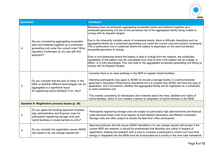

| <b>Questions</b> |                                                                                                                                                                                                      | <b>Feedback</b>                                                                                                                                                                                                                                                                                                                                                                                         |
|------------------|------------------------------------------------------------------------------------------------------------------------------------------------------------------------------------------------------|---------------------------------------------------------------------------------------------------------------------------------------------------------------------------------------------------------------------------------------------------------------------------------------------------------------------------------------------------------------------------------------------------------|
| 4                | Are you considering aggregating renewable<br>plant and batteries together as a scheduled<br>generating unit under the current rules? What<br>regulatory challenges do you see with this<br>approach? | Maoneng does not anticipate aggregating renewable plants and batteries together as a<br>scheduled generating unit due to the perceived risk of the aggregated facility being unable to<br>comply with its dispatch targets.                                                                                                                                                                             |
|                  |                                                                                                                                                                                                      | Due to the inherently variable nature of renewable plants, there is difficulty classifying such an<br>aggregated facility as a scheduled generating unit under the current rules and system constraints.<br>This is particularly true in instances where the battery is dependant on the semi-scheduled<br>renewable generator to charge.                                                               |
|                  |                                                                                                                                                                                                      | Even in circumstances where the battery is able to charge from the network, the scheduled<br>capabilities of the battery may be unavailable from time to time if the battery has an outage, is<br>offline, or is fully discharged. This may lead to the aggregated scheduled generating unit failing to<br>comply with its dispatch targets.                                                            |
|                  | Do you consider that the lack of clarity in the<br>NER on whether different technologies can be<br>aggregated is a significant issue<br>for registering hybrid facilities? If so, why?               | Currently there is no clear pathway in the NER to register hybrid facilities.                                                                                                                                                                                                                                                                                                                           |
| 5                |                                                                                                                                                                                                      | Intending participants may apply to AEMO to include a storage facility in a semi-scheduled<br>generator's Generator Performance Standards but it is unclear how AEMO will treat this type of<br>application, and if successful, whether the aggregated facility will be registered as a scheduled<br>or semi-scheduled unit.                                                                            |
|                  |                                                                                                                                                                                                      | This creates uncertainty for developers and investors about the risks, liabilities and rights of<br>hybrid facilities, which in turn creates a barrier to integration of hybrid facilities in the NEM.                                                                                                                                                                                                  |
|                  | Question 8: Registration process issues (p. 36)                                                                                                                                                      |                                                                                                                                                                                                                                                                                                                                                                                                         |
| $\overline{2}$   | Do you agree the existing approach imposes<br>high administrative and financial costs for<br>participants registering storage units and<br>hybrid facilities or create barriers to entry?            | Participants registering storage units are subject to particularly high administrative and financial<br>costs because these units must register as both Market Generators and Market Customers.<br>Storage units are often subject to double the fees than other participants.                                                                                                                          |
|                  | Do you consider the registration issues AEMO<br>has raised in its rule change request will                                                                                                           | Maoneng believes that the issues AEMO identified in its rule change request will worsen if the<br>current NER are retained. It should be emphasised that flexibility and clarity in respect of<br>registration, bidding and dispatch with a view to increase a participant's control over how their<br>energy is integrated into the NEM must be incorporated as a priority in the new rules framework. |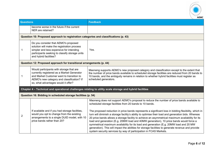

| <b>Questions</b> |                                                                                                                                                                                                                          | <b>Feedback</b>                                                                                                                                                                                                                                                                                                                                                                                                                                                                                                                                                                                                                                                                                                                                                                                                                        |
|------------------|--------------------------------------------------------------------------------------------------------------------------------------------------------------------------------------------------------------------------|----------------------------------------------------------------------------------------------------------------------------------------------------------------------------------------------------------------------------------------------------------------------------------------------------------------------------------------------------------------------------------------------------------------------------------------------------------------------------------------------------------------------------------------------------------------------------------------------------------------------------------------------------------------------------------------------------------------------------------------------------------------------------------------------------------------------------------------|
|                  | become worse in the future if the current<br>NER are retained?                                                                                                                                                           |                                                                                                                                                                                                                                                                                                                                                                                                                                                                                                                                                                                                                                                                                                                                                                                                                                        |
|                  | Question 10: Proposed approach to registration categories and classifications (p. 43)                                                                                                                                    |                                                                                                                                                                                                                                                                                                                                                                                                                                                                                                                                                                                                                                                                                                                                                                                                                                        |
|                  | Do you consider that AEMO's proposed<br>solution will make the registration process<br>simpler and less expensive for intending<br>participants seeking to classify storage units<br>and hybrid facilities?              | Yes.                                                                                                                                                                                                                                                                                                                                                                                                                                                                                                                                                                                                                                                                                                                                                                                                                                   |
|                  | Question 12: Proposed approach for transitional arrangements (p. 44)                                                                                                                                                     |                                                                                                                                                                                                                                                                                                                                                                                                                                                                                                                                                                                                                                                                                                                                                                                                                                        |
| -1               | Would participants with storage that are<br>currently registered as a Market Generator<br>and Market Customer want to transition to<br>AEMO's new category and classification? If<br>so, what advantages would it offer? | Maoneng supports AEMO's new proposed category and classification except to the extent that<br>the number of price bands available to scheduled storage facilities are reduced from 20 bands to<br>10 bands, and the ambiguity remains in relation to whether hybrid facilities must register as<br>scheduled generators.                                                                                                                                                                                                                                                                                                                                                                                                                                                                                                               |
|                  |                                                                                                                                                                                                                          | Chapter 4 - Technical and operational challenges relating to utility scale storage and hybrid facilities                                                                                                                                                                                                                                                                                                                                                                                                                                                                                                                                                                                                                                                                                                                               |
|                  | Question 16: Bidding in scheduled storage facilities (p. 54)                                                                                                                                                             |                                                                                                                                                                                                                                                                                                                                                                                                                                                                                                                                                                                                                                                                                                                                                                                                                                        |
| $\overline{2}$   | If available and if you had storage facilities,<br>would you opt to change from the existing<br>arrangements to a single DUID model, with 10<br>price bands rather than 20?                                              | Maoneng does not support AEMO's proposal to reduce the number of price bands available to<br>scheduled storage facilities from 20 bands to 10 bands.<br>The proposed reduction in price bands represents a significant loss in bidding flexibility, which in<br>turn will diminish a storage facility's ability to optimise their load and generation bids. Whereas<br>20 price bands allows a storage facility to achieve an asymmetrical maximum availability for its<br>load and generation (E.g. 20MW load and 40MW generation), 10 price bands would force a<br>symmetrical maximum availability for its load and generation (E.g. 20MW load and 20 MW<br>generation). This will impact the abilities for storage facilities to generate revenue and provide<br>system security services by way of participation in FCAS Markets. |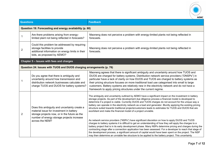

| <b>Questions</b> |                                                                                                                                                                                                            | <b>Feedback</b>                                                                                                                                                                                                                                                                                                                                                                                                                                                                                                                                                                                                                                                                                                                                                                                                                                                                                                                                                                                                                                                                                                                                                                                                                                                                  |  |
|------------------|------------------------------------------------------------------------------------------------------------------------------------------------------------------------------------------------------------|----------------------------------------------------------------------------------------------------------------------------------------------------------------------------------------------------------------------------------------------------------------------------------------------------------------------------------------------------------------------------------------------------------------------------------------------------------------------------------------------------------------------------------------------------------------------------------------------------------------------------------------------------------------------------------------------------------------------------------------------------------------------------------------------------------------------------------------------------------------------------------------------------------------------------------------------------------------------------------------------------------------------------------------------------------------------------------------------------------------------------------------------------------------------------------------------------------------------------------------------------------------------------------|--|
|                  | Question 19: Forecasting and energy availability (p. 60)                                                                                                                                                   |                                                                                                                                                                                                                                                                                                                                                                                                                                                                                                                                                                                                                                                                                                                                                                                                                                                                                                                                                                                                                                                                                                                                                                                                                                                                                  |  |
|                  | Are there problems arising from energy-<br>limited plant not being reflected in forecasts?                                                                                                                 | Maoneng does not perceive a problem with energy-limited plants not being reflected in<br>forecasts.                                                                                                                                                                                                                                                                                                                                                                                                                                                                                                                                                                                                                                                                                                                                                                                                                                                                                                                                                                                                                                                                                                                                                                              |  |
| $\overline{2}$   | Could this problem be addressed by requiring<br>storage facilities to provide<br>additional information on energy limits in their<br>bids, as proposed by AEMO?                                            | Maoneng does not perceive a problem with energy-limited plants not being reflected in<br>forecasts.                                                                                                                                                                                                                                                                                                                                                                                                                                                                                                                                                                                                                                                                                                                                                                                                                                                                                                                                                                                                                                                                                                                                                                              |  |
|                  | Chapter 5 - Issues with fees and charges                                                                                                                                                                   |                                                                                                                                                                                                                                                                                                                                                                                                                                                                                                                                                                                                                                                                                                                                                                                                                                                                                                                                                                                                                                                                                                                                                                                                                                                                                  |  |
|                  | Question 24: Issues with TUOS and DUOS charging arrangements (p. 76)                                                                                                                                       |                                                                                                                                                                                                                                                                                                                                                                                                                                                                                                                                                                                                                                                                                                                                                                                                                                                                                                                                                                                                                                                                                                                                                                                                                                                                                  |  |
|                  | Do you agree that there is ambiguity and<br>uncertainty around how transmission and<br>distribution network businesses calculate and<br>charge TUOS and DUOS for battery systems?                          | Maoneng agrees that there is significant ambiguity and uncertainty around how TUOS and<br>DUOS are charged for battery systems. Distribution network service providers ("DNSPs") in<br>particular have a lack of clarity on how DUOS and TUOS are charged to battery systems as<br>their pricing structure focuses on more traditional load use categorised into small to large<br>customers. Battery systems are relatively new in the electricity network and do not have a<br>framework to apply pricing structures under the current regime.                                                                                                                                                                                                                                                                                                                                                                                                                                                                                                                                                                                                                                                                                                                                 |  |
| $\overline{c}$   | Does this ambiguity and uncertainty create a<br>material issue for investment in battery<br>storage projects now, or in the future as the<br>number of energy storage projects increase<br>across the NEM? | The ambiguity and uncertainty outlined by AEMO have a significant impact on the investment in battery<br>storage projects. As part of the development due diligence process a financial model is developed to<br>determine if a project is viable. Currently DUOS and TUOS charges do not account for the unique way a<br>battery can operate in the electricity network as a load and generator. Bluntly applying the existing pricing<br>structure suited towards traditional projects/customers leads to estimates for TUOS and DUOS that are<br>exorbitant and make the financial model of a project unviable.<br>As network service providers ("NSPs") have significant discretion on how to apply DUOS and TUOS<br>charges to battery systems it is difficult to get an understanding of how they will apply the charges to a<br>battery project that is in its early development phase. Many NSPs determine pricing and charges during the<br>contracting stage after a connection application has been assessed. For a developer to reach that stage of<br>the development process, a significant amount of capital would have been spent on the project. The NSP<br>may then determine an unviable fee structure to be applied to the battery project. This uncertainty |  |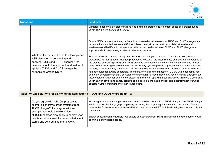

| <b>Questions</b> |                                                                                                                                                                                                                                                                                                   | <b>Feedback</b>                                                                                                                                                                                                                                                                                                                                                                                                                                                                                                                                                                                                                                                                                                                                                                                                                                                                                                                                                                                                                                                                                                                                                                                                                                                                                                                                                                                                                          |  |
|------------------|---------------------------------------------------------------------------------------------------------------------------------------------------------------------------------------------------------------------------------------------------------------------------------------------------|------------------------------------------------------------------------------------------------------------------------------------------------------------------------------------------------------------------------------------------------------------------------------------------------------------------------------------------------------------------------------------------------------------------------------------------------------------------------------------------------------------------------------------------------------------------------------------------------------------------------------------------------------------------------------------------------------------------------------------------------------------------------------------------------------------------------------------------------------------------------------------------------------------------------------------------------------------------------------------------------------------------------------------------------------------------------------------------------------------------------------------------------------------------------------------------------------------------------------------------------------------------------------------------------------------------------------------------------------------------------------------------------------------------------------------------|--|
|                  |                                                                                                                                                                                                                                                                                                   | ultimately means that developers will be less inclined to start the development phase of a project due to<br>uncertainty around DUOS and TUOS.                                                                                                                                                                                                                                                                                                                                                                                                                                                                                                                                                                                                                                                                                                                                                                                                                                                                                                                                                                                                                                                                                                                                                                                                                                                                                           |  |
| 3                | What are the pros and cons to allowing each<br>NSP discretion in developing and<br>applying TUOS and DUOS charges? On<br>balance, should the approach and method to<br>applying TUOS and DUOS charges be<br>harmonised among NSPs?                                                                | From a NSPs perspective it may be beneficial to have discretion over how TUOS and DUOS charges are<br>developed and applied. As each NSP has different network layouts (with associated strengths and<br>weaknesses) with different customer use patterns, having discretion on DUOS and TUOS charges can<br>support NSPs in maintaining a balanced electricity network.<br>The lack of consistency and clarity between NSPs for charging DUOS and TUOS leads to significant<br>drawbacks. As highlighted in Maoneng's response to Q.24.2, the inconsistency and lack of transparency on<br>the process of charging DUOS and TUOS prevents developers from starting battery projects due to a lack<br>of certainty in forming a viable financial model. Battery systems provide significant benefit to the electricity<br>network, in particular they can alleviate the issues being faced as the network becomes decentralised with<br>non-scheduled renewable generators. Therefore, the significant impact the TUOS/DUOS uncertainty has<br>on project development clearly outweighs the benefit NSPs may believe they have in having discretion over<br>these charges. A harmonised and consistent framework for applying these charges will remove a significant<br>uncertainty in developing battery projects and lead to a more stable and reliable electricity network which<br>benefits NSPs, consumers and other stakeholders. |  |
|                  | Question 25: Solutions for clarifying the application of TUOS and DUOS charging (p. 79)                                                                                                                                                                                                           |                                                                                                                                                                                                                                                                                                                                                                                                                                                                                                                                                                                                                                                                                                                                                                                                                                                                                                                                                                                                                                                                                                                                                                                                                                                                                                                                                                                                                                          |  |
|                  | Do you agree with AEMO's proposal to<br>exempt all energy storage systems from<br>TUOS charges? If you agree with an<br>exemption, should the exemption<br>of TUOS charges also apply to energy used<br>on site (auxiliary load) i.e. energy that is not<br>stored and sent out into the network? | Maoneng believes that energy storage systems should be exempt from TUOS charges. Any TUOS charges<br>would be a double-charge (importing energy to store, then exporting that energy to consumers). This is a<br>disincentive for battery systems in the NEM and contradicts the NEO as it leads to higher cost electricity for<br>consumers.<br>Energy consumption by auxiliary load should be exempted from TUOS charges as the consumption would<br>be minimal during idling period.                                                                                                                                                                                                                                                                                                                                                                                                                                                                                                                                                                                                                                                                                                                                                                                                                                                                                                                                                  |  |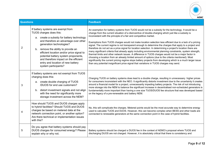

| <b>Questions</b> |                                                                                                                                                                                                                                                                                                                                                                                                                    | <b>Feedback</b>                                                                                                                                                                                                                                                                                                                                                                                                                                                                                                                                                                                                                                                                                                                                                                                                                                                                                                                                                                                                                                                                                                                                                   |
|------------------|--------------------------------------------------------------------------------------------------------------------------------------------------------------------------------------------------------------------------------------------------------------------------------------------------------------------------------------------------------------------------------------------------------------------|-------------------------------------------------------------------------------------------------------------------------------------------------------------------------------------------------------------------------------------------------------------------------------------------------------------------------------------------------------------------------------------------------------------------------------------------------------------------------------------------------------------------------------------------------------------------------------------------------------------------------------------------------------------------------------------------------------------------------------------------------------------------------------------------------------------------------------------------------------------------------------------------------------------------------------------------------------------------------------------------------------------------------------------------------------------------------------------------------------------------------------------------------------------------|
| 2                | If battery systems are exempt from<br>TUOS charges does this:<br>a. create a subsidy for battery technology<br>and therefore an advantage over other<br>generation technologies?<br>b. remove the ability to provide an<br>efficient location and/or price signal to<br>potential battery system proponents,<br>and therefore impact on the efficient<br>entry and location of new battery<br>system participants? | An exemption for battery systems from TUOS would not be a subsidy for the technology. It would be a<br>change from the current situation of a disincentive of double-charging which just like a subsidy is<br>inconsistent with the principle of a fair and competitive market.<br>Exemptions from TUOS charges would not make location selection less efficient due to a lack of a pricing<br>signal. The current regime is not transparent enough to determine the charges that apply to a project and<br>therefore do not act as a price signal for location selection. In determining a project's location there are<br>many significant criteria that already apply including environmental planning constraints, system strength,<br>thermal limits and other network issues. A difference in TUOS charges would not be a major factor in<br>choosing a location from an already limited amount of options (due to the criteria mentioned). Most<br>significantly the current pricing regime stops battery projects from developing which is a much larger issue<br>than any potential insignificant price signal that variations in TUOS charges may send. |
| 3                | If battery systems are not exempt from TUOS<br>charging does this:<br>a. create double charging of TUOS<br>/DUOS for end use customers?<br>distort investment signals and not align<br>b.<br>with the need for significantly more<br>storage investment across the NEM?                                                                                                                                            | Charging TUOS on battery systems does lead to a double charge, resulting in unnecessary higher prices<br>for consumers inconsistent with the NEO. It significantly distorts investment due to the uncertainty it creates<br>around a financial model for a project, unnecessarily impeding battery projects. The risk of not introducing<br>more storage into the NEM to balance the significant increase in decentralised non-scheduled generators is<br>fundamentally more important than having a one size TUOS/DUOS fee structure that was developed based<br>on the legacy of a pre-renewable and battery NEM.                                                                                                                                                                                                                                                                                                                                                                                                                                                                                                                                               |
| 4                | How should TUOS and DUOS charges apply<br>to hybrid facilities? Should TUOS and DUOS<br>charges be based on metered data at the<br>network connection point, or another option?<br>Are there technical or implementation issues<br>with this?                                                                                                                                                                      | No, this will complicate the charges. Metered points would be the most accurate way to determine energy<br>used to calculate TUOS and DUOS. However, this can become complex when BESS and other loads are<br>connected to renewable generators at the same connection point in the case of hybrid facilities.                                                                                                                                                                                                                                                                                                                                                                                                                                                                                                                                                                                                                                                                                                                                                                                                                                                    |
| 5                | Do you agree that battery systems should pay<br>DUOS charges for consumed energy? Please<br>explain why or why not.                                                                                                                                                                                                                                                                                                | Battery systems should be charged a DUOS fee in the context of AEMO's proposal where TUOS and<br>discharging DUOS are not charged. However, it is absolutely critical that there is consistency and                                                                                                                                                                                                                                                                                                                                                                                                                                                                                                                                                                                                                                                                                                                                                                                                                                                                                                                                                               |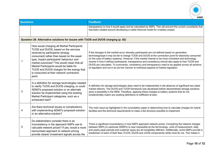

| <b>Questions</b> |                                                                                                                                                                                                                                                                                                                                                                                                          | <b>Feedback</b>                                                                                                                                                                                                                                                                                                                                                                                                                                                                                                                                                                                                              |
|------------------|----------------------------------------------------------------------------------------------------------------------------------------------------------------------------------------------------------------------------------------------------------------------------------------------------------------------------------------------------------------------------------------------------------|------------------------------------------------------------------------------------------------------------------------------------------------------------------------------------------------------------------------------------------------------------------------------------------------------------------------------------------------------------------------------------------------------------------------------------------------------------------------------------------------------------------------------------------------------------------------------------------------------------------------------|
|                  |                                                                                                                                                                                                                                                                                                                                                                                                          | transparency to how it would apply and be calculated by NSPs. This will prevent the current uncertainty that<br>has been created around developing a viable financial model for a battery project.                                                                                                                                                                                                                                                                                                                                                                                                                           |
|                  | Question 26: Alternative solutions for issues with TUOS and DUOS charging (p. 82)                                                                                                                                                                                                                                                                                                                        |                                                                                                                                                                                                                                                                                                                                                                                                                                                                                                                                                                                                                              |
| -1               | How would charging all Market Participants<br>TUOS and DUOS, based on the services<br>received by participants (energy<br>consumed) rather than based on the asset<br>type, impact participants' behaviour and<br>market outcomes? This would mean that all<br>Market Participants would be liable for<br>TUOS and DUOS charges for the energy that<br>is consumed at their network connection<br>point. | If the changes to the market occur whereby participants are not defined based on generation<br>technology/type it may be fair to charge TUOS and DUOS at the connection point for electricity consumed<br>(in the case of battery systems). However, if the market intends to be more consistent and technology<br>neutral in how it defines participants, transparency and consistency should also apply to how TUOS and<br>DUOS are calculated. To summarise, consistency and transparency need to be applied across all sections<br>of regulation and not in an ad hoc manner to individual aspects of market regulation. |
| 3                | Is a definition for storage technologies needed<br>to clarify TUOS and DUOS charging, or could<br>AEMO's proposed solution or an alternate<br>solution be implemented using the existing<br>Market Participant categories, such as a<br>scheduled load?                                                                                                                                                  | A definition for storage technologies does need to be implemented in the absence of significant two sided<br>market reforms. The DUOS and TUOS framework was developed before decentralised storage solutions<br>were a possibility in the NEM. Therefore, applying these charges to battery systems that do not<br>fundamentally match any existing definitions is inefficient at best.                                                                                                                                                                                                                                     |
| 4                | Are there technical issues or complications<br>with implementing AEMO's proposed solution<br>or an alternative solution?                                                                                                                                                                                                                                                                                 | The main issue as highlighted in the consultation paper is determining how to calculate charges for hybrid<br>facilities and the technical requirements to make a fee structure possible to implement.                                                                                                                                                                                                                                                                                                                                                                                                                       |
| 5                | Do stakeholders consider there is an<br>inconsistency in the approach NSPs use to<br>calculate network prices? If yes, would a more<br>harmonised approach to network pricing<br>provide clearer investment signals across the                                                                                                                                                                           | There is significant inconsistency in how NSPs approach network prices. Comparing the network charges<br>between NSPs (in particular DNSPs) is near impossible as the terminology, units of measurement, daily<br>and yearly peak periods and customer types are all completely different. Additionally, some NSPs provide a<br>breakdown of each of their fees (TUOS, DUOS and JUOS components) while most do not. This makes it                                                                                                                                                                                            |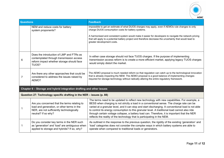

| <b>Questions</b> |                                                                                                                                                                | <b>Feedback</b>                                                                                                                                                                                                                                                                                                                                                                                                                                                                                                                                                               |  |
|------------------|----------------------------------------------------------------------------------------------------------------------------------------------------------------|-------------------------------------------------------------------------------------------------------------------------------------------------------------------------------------------------------------------------------------------------------------------------------------------------------------------------------------------------------------------------------------------------------------------------------------------------------------------------------------------------------------------------------------------------------------------------------|--|
|                  | NEM and reduce costs for battery<br>system proponents?                                                                                                         | impossible to get an estimate of what DUOS charges may apply, even if AEMOs rule changes to only<br>charge DUOS consumption costs for battery systems.                                                                                                                                                                                                                                                                                                                                                                                                                        |  |
|                  |                                                                                                                                                                | A harmonised and consistent system would make it easier for developers to navigate the network pricing<br>that will apply to a potential battery project and therefore decrease the uncertainty that would lead to<br>greater development costs.                                                                                                                                                                                                                                                                                                                              |  |
| 6                | Does the introduction of LMP and FTRs as<br>contemplated through transmission access<br>reform impact whether storage should face<br>TUOS?                     | In either case storage should not face TUOS charges. If the purpose of implementing<br>transmission access reform is to create a more efficient market, applying legacy TUOS charges<br>would simply distort the market.                                                                                                                                                                                                                                                                                                                                                      |  |
| 7                | Are there any other approaches that could be<br>considered to address the issues raised by<br>AEMO?                                                            | The AEMO proposal is much needed reform so that regulation can catch up to the technological innovation<br>that is already impacting the NEM. The AEMO proposal is a good balance of implementing changes<br>required for storage technology without radically altering the entire regulatory framework.                                                                                                                                                                                                                                                                      |  |
|                  | Chapter 6 - Storage and hybrid integration drafting and other issues                                                                                           |                                                                                                                                                                                                                                                                                                                                                                                                                                                                                                                                                                               |  |
|                  | Question 27: Technology specific drafting in the NER - issues (p. 88)                                                                                          |                                                                                                                                                                                                                                                                                                                                                                                                                                                                                                                                                                               |  |
|                  | Are you concerned that the terms relating to<br>load and generation, or other terms in the<br>NER, are not sufficiently technologically<br>neutral? If so why? | The terms need to be updated to reflect new technology with new capabilities. For example, a<br>BESS when charging is not strictly a load in a conventional sense. The charge rate can be<br>varied at a granular level, and it can stop and start discharging. A conventional load is not able<br>to control its energy consumption to this granular level. A traditional load cannot also ride<br>through certain voltage collapse, a battery load can. Therefore, it is important that the NER<br>reflects the reality of the technology that is participating in the NEM. |  |
|                  | Do you consider key terms in the NER such<br>as 'generation' and 'load' are ambiguous when<br>applied to storage and hybrids? If so, why?                      | As outlined in the response to the previous question, the rigidity of the existing 'generation' and<br>'load' categories does not consider the complex ways in which battery systems are able to<br>operate when compared to traditional loads or generators.                                                                                                                                                                                                                                                                                                                 |  |